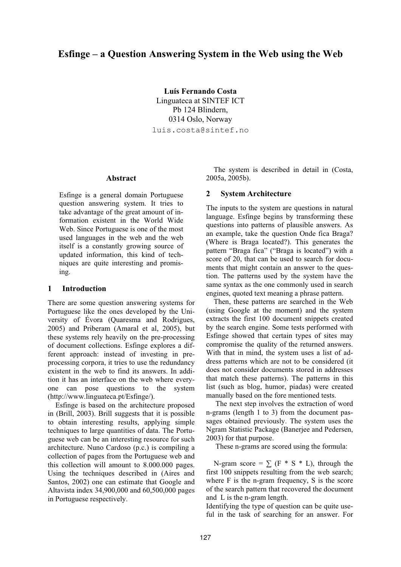# **Esfinge – a Question Answering System in the Web using the Web**

**Luís Fernando Costa**  Linguateca at SINTEF ICT Pb 124 Blindern, 0314 Oslo, Norway luis.costa@sintef.no

## **Abstract**

Esfinge is a general domain Portuguese question answering system. It tries to take advantage of the great amount of information existent in the World Wide Web. Since Portuguese is one of the most used languages in the web and the web itself is a constantly growing source of updated information, this kind of techniques are quite interesting and promising.

## **1 Introduction**

There are some question answering systems for Portuguese like the ones developed by the University of Évora (Quaresma and Rodrigues, 2005) and Priberam (Amaral et al, 2005), but these systems rely heavily on the pre-processing of document collections. Esfinge explores a different approach: instead of investing in preprocessing corpora, it tries to use the redundancy existent in the web to find its answers. In addition it has an interface on the web where everyone can pose questions to the system (http://www.linguateca.pt/Esfinge/).

Esfinge is based on the architecture proposed in (Brill, 2003). Brill suggests that it is possible to obtain interesting results, applying simple techniques to large quantities of data. The Portuguese web can be an interesting resource for such architecture. Nuno Cardoso (p.c.) is compiling a collection of pages from the Portuguese web and this collection will amount to 8.000.000 pages. Using the techniques described in (Aires and Santos, 2002) one can estimate that Google and Altavista index 34,900,000 and 60,500,000 pages in Portuguese respectively.

The system is described in detail in (Costa, 2005a, 2005b).

## **2 System Architecture**

The inputs to the system are questions in natural language. Esfinge begins by transforming these questions into patterns of plausible answers. As an example, take the question Onde fica Braga? (Where is Braga located?). This generates the pattern "Braga fica" ("Braga is located") with a score of 20, that can be used to search for documents that might contain an answer to the question. The patterns used by the system have the same syntax as the one commonly used in search engines, quoted text meaning a phrase pattern.

Then, these patterns are searched in the Web (using Google at the moment) and the system extracts the first 100 document snippets created by the search engine. Some tests performed with Esfinge showed that certain types of sites may compromise the quality of the returned answers. With that in mind, the system uses a list of address patterns which are not to be considered (it does not consider documents stored in addresses that match these patterns). The patterns in this list (such as blog, humor, piadas) were created manually based on the fore mentioned tests.

 The next step involves the extraction of word n-grams (length 1 to 3) from the document passages obtained previously. The system uses the Ngram Statistic Package (Banerjee and Pedersen, 2003) for that purpose.

These n-grams are scored using the formula:

N-gram score =  $\sum$  (F \* S \* L), through the first 100 snippets resulting from the web search; where F is the n-gram frequency, S is the score of the search pattern that recovered the document and L is the n-gram length.

Identifying the type of question can be quite useful in the task of searching for an answer. For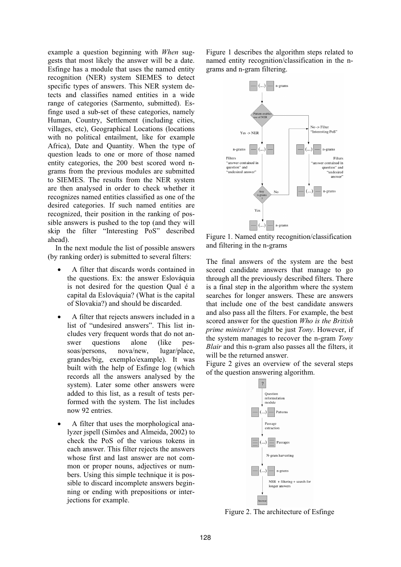example a question beginning with *When* suggests that most likely the answer will be a date. Esfinge has a module that uses the named entity recognition (NER) system SIEMES to detect specific types of answers. This NER system detects and classifies named entities in a wide range of categories (Sarmento, submitted). Esfinge used a sub-set of these categories, namely Human, Country, Settlement (including cities, villages, etc), Geographical Locations (locations with no political entailment, like for example Africa), Date and Quantity. When the type of question leads to one or more of those named entity categories, the 200 best scored word ngrams from the previous modules are submitted to SIEMES. The results from the NER system are then analysed in order to check whether it recognizes named entities classified as one of the desired categories. If such named entities are recognized, their position in the ranking of possible answers is pushed to the top (and they will skip the filter "Interesting PoS" described ahead).

In the next module the list of possible answers (by ranking order) is submitted to several filters:

- A filter that discards words contained in the questions. Ex: the answer Eslováquia is not desired for the question Qual é a capital da Eslováquia? (What is the capital of Slovakia?) and should be discarded.
- A filter that rejects answers included in a list of "undesired answers". This list includes very frequent words that do not answer questions alone (like pessoas/persons, nova/new, lugar/place, grandes/big, exemplo/example). It was built with the help of Esfinge log (which records all the answers analysed by the system). Later some other answers were added to this list, as a result of tests performed with the system. The list includes now 92 entries.
- A filter that uses the morphological analyzer jspell (Simões and Almeida, 2002) to check the PoS of the various tokens in each answer. This filter rejects the answers whose first and last answer are not common or proper nouns, adjectives or numbers. Using this simple technique it is possible to discard incomplete answers beginning or ending with prepositions or interjections for example.

Figure 1 describes the algorithm steps related to named entity recognition/classification in the ngrams and n-gram filtering.



Figure 1. Named entity recognition/classification and filtering in the n-grams

The final answers of the system are the best scored candidate answers that manage to go through all the previously described filters. There is a final step in the algorithm where the system searches for longer answers. These are answers that include one of the best candidate answers and also pass all the filters. For example, the best scored answer for the question *Who is the British prime minister?* might be just *Tony*. However, if the system manages to recover the n-gram *Tony Blair* and this n-gram also passes all the filters, it will be the returned answer.

Figure 2 gives an overview of the several steps of the question answering algorithm.



Figure 2. The architecture of Esfinge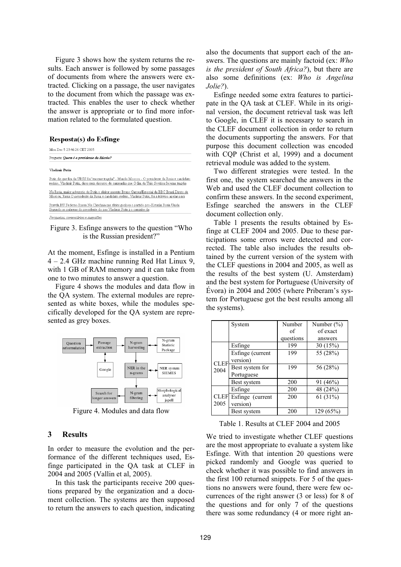Figure 3 shows how the system returns the results. Each answer is followed by some passages of documents from where the answers were extracted. Clicking on a passage, the user navigates to the document from which the passage was extracted. This enables the user to check whether the answer is appropriate or to find more information related to the formulated question.

#### Resposta(s) do Esfinge

| Mon Dec 5 23:46:26 CET 2005                                                                                                                                                                               |  |  |  |  |
|-----------------------------------------------------------------------------------------------------------------------------------------------------------------------------------------------------------|--|--|--|--|
| Pergunta: Quem é o presidente da Rússia?                                                                                                                                                                  |  |  |  |  |
| Vladimir Putin                                                                                                                                                                                            |  |  |  |  |
| Putin diz que fim da URSS foi "enorme tragdia" - Mundo Moscou - O presidente da Rssia e candidato<br>reeleio. Vladimir Putin, disse num discurso de campanha que O fim da Unio Sovitica foi uma tragdia   |  |  |  |  |
| Na Rssia, maior adversrio de Putin o eleitor ausente Bruno Garcez/Especial da BBC Brasil Direto de<br>Moscou, Rssia O presidente da Rssia e candidato reeleio. Vladimir Putin, foi a televiso apelar para |  |  |  |  |
| Pravda RU Federao Russa Na Chechnia nas eleies gonhou o partido pro-Kremlin Rssia Unida<br>Segundo as palavras do presidente do pas Vladimir Putin i o caminho da                                         |  |  |  |  |
| Perquitas, comentários e sugestões                                                                                                                                                                        |  |  |  |  |

#### Figure 3. Esfinge answers to the question "Who is the Russian president?"

At the moment, Esfinge is installed in a Pentium 4 – 2.4 GHz machine running Red Hat Linux 9, with 1 GB of RAM memory and it can take from one to two minutes to answer a question.

Figure 4 shows the modules and data flow in the QA system. The external modules are represented as white boxes, while the modules specifically developed for the QA system are represented as grey boxes.



Figure 4. Modules and data flow

#### **3 Results**

In order to measure the evolution and the performance of the different techniques used, Esfinge participated in the QA task at CLEF in 2004 and 2005 (Vallin et al, 2005).

In this task the participants receive 200 questions prepared by the organization and a document collection. The systems are then supposed to return the answers to each question, indicating also the documents that support each of the answers. The questions are mainly factoid (ex: *Who is the president of South Africa?*), but there are also some definitions (ex: *Who is Angelina Jolie?*).

Esfinge needed some extra features to participate in the QA task at CLEF. While in its original version, the document retrieval task was left to Google, in CLEF it is necessary to search in the CLEF document collection in order to return the documents supporting the answers. For that purpose this document collection was encoded with CQP (Christ et al, 1999) and a document retrieval module was added to the system.

Two different strategies were tested. In the first one, the system searched the answers in the Web and used the CLEF document collection to confirm these answers. In the second experiment, Esfinge searched the answers in the CLEF document collection only.

Table 1 presents the results obtained by Esfinge at CLEF 2004 and 2005. Due to these participations some errors were detected and corrected. The table also includes the results obtained by the current version of the system with the CLEF questions in 2004 and 2005, as well as the results of the best system (U. Amsterdam) and the best system for Portuguese (University of Évora) in 2004 and 2005 (where Priberam's system for Portuguese got the best results among all the systems).

|                     | System           | Number    | Number $(\% )$ |
|---------------------|------------------|-----------|----------------|
|                     |                  | of        | of exact       |
|                     |                  | questions | answers        |
| <b>CLEF</b><br>2004 | Esfinge          | 199       | 30(15%)        |
|                     | Esfinge (current | 199       | 55 (28%)       |
|                     | version)         |           |                |
|                     | Best system for  | 199       | 56 (28%)       |
|                     | Portuguese       |           |                |
|                     | Best system      | 200       | 91(46%)        |
| <b>CLEF</b><br>2005 | Esfinge          | 200       | 48 (24%)       |
|                     | Esfinge (current | 200       | 61(31%)        |
|                     | version)         |           |                |
|                     | Best system      | 200       | 129(65%)       |

Table 1. Results at CLEF 2004 and 2005

We tried to investigate whether CLEF questions are the most appropriate to evaluate a system like Esfinge. With that intention 20 questions were picked randomly and Google was queried to check whether it was possible to find answers in the first 100 returned snippets. For 5 of the questions no answers were found, there were few occurrences of the right answer (3 or less) for 8 of the questions and for only 7 of the questions there was some redundancy (4 or more right an